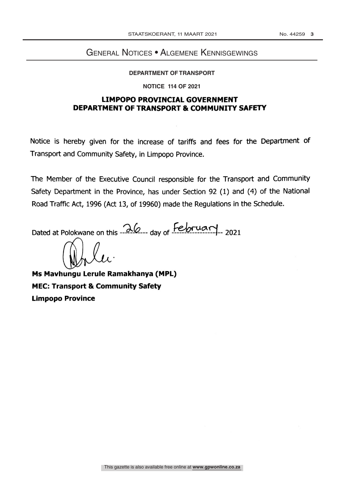## General Notices • Algemene Kennisgewings

## DEPARTMENT OF TRANSPORT

#### **NOTICE 114 OF 2021**

#### LIMPOPO PROVINCIAL GOVERNMENT DEPARTMENT OF TRANSPORT & COMMUNITY SAFETY

Notice is hereby given for the increase of tariffs and fees for the Department of Transport and Community Safety, in Limpopo Province.

The Member of the Executive Council responsible for the Transport and Community Safety Department in the Province, has under Section 92 (1) and (4) of the National Road Traffic Act, 1996 (Act 13, of 19960) made the Regulations in the Schedule.

Dated at Polokwane on this  $\frac{\lambda}{\omega}$  day of February 2021

Ms Mavhungu Lerule Ramakhanya (MPL) MEC: Transport & Community Safety Limpopo Province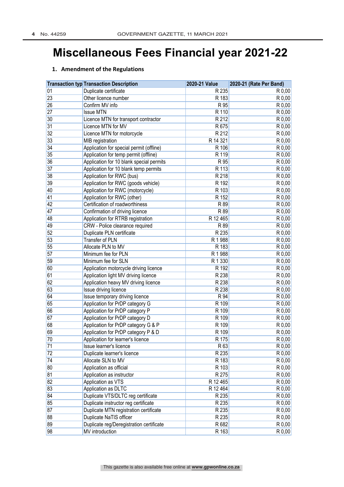## **Miscellaneous Fees Financial year 2021-22**

|    | <b>Transaction typ Transaction Description</b> | 2020-21 Value | 2020-21 (Rate Per Band) |
|----|------------------------------------------------|---------------|-------------------------|
| 01 | Duplicate certificate                          | R 235         | R 0,00                  |
| 23 | Other licence number                           | R 183         | R 0,00                  |
| 26 | Confirm MV info                                | R 95          | R 0,00                  |
| 27 | <b>Issue MTN</b>                               | R 110         | R 0,00                  |
| 30 | Licence MTN for transport contractor           | R 212         | $\overline{R}$ 0,00     |
| 31 | Licence MTN for MV                             | R 675         | R 0,00                  |
| 32 | Licence MTN for motorcycle                     | R 212         | R 0,00                  |
| 33 | <b>MIB</b> registration                        | R 14 321      | R 0,00                  |
| 34 | Application for special permit (offline)       | R 106         | R 0,00                  |
| 35 | Application for temp permit (offline)          | R 119         | R 0,00                  |
| 36 | Application for 10 blank special permits       | R 95          | R 0,00                  |
| 37 | Application for 10 blank temp permits          | R 113         | R 0,00                  |
| 38 | Application for RWC (bus)                      | R 218         | $R$ 0,00                |
| 39 | Application for RWC (goods vehicle)            | R 192         | R 0,00                  |
| 40 | Application for RWC (motorcycle)               | R 103         | R 0,00                  |
| 41 | Application for RWC (other)                    | R 152         | $R$ 0,00                |
| 42 | Certification of roadworthiness                | R 89          | R 0,00                  |
| 47 | Confirmation of driving licence                | R 89          | R 0,00                  |
| 48 | Application for RTRB registration              | R 12 465      | R 0,00                  |
| 49 | CRW - Police clearance required                | R 89          | R 0,00                  |
| 52 | Duplicate PLN certificate                      | R 235         | R 0,00                  |
| 53 | Transfer of PLN                                | R 1 988       | R 0,00                  |
| 55 | Allocate PLN to MV                             | R 183         | R 0,00                  |
| 57 | Minimum fee for PLN                            | R 1 988       | R 0,00                  |
| 59 | Minimum fee for SLN                            | R 1 3 3 0     | R 0,00                  |
| 60 | Application motorcycle driving licence         | R 192         | R 0,00                  |
| 61 | Application light MV driving licence           | R 238         | R 0,00                  |
| 62 | Application heavy MV driving licence           | R 238         | $\overline{R0,00}$      |
| 63 | Issue driving licence                          | R 238         | R 0,00                  |
| 64 | Issue temporary driving licence                | R 94          | R 0,00                  |
| 65 | Application for PrDP category G                | R 109         | R 0,00                  |
| 66 | Application for PrDP category P                | R 109         | R 0,00                  |
| 67 | Application for PrDP category D                | R 109         | R 0,00                  |
| 68 | Application for PrDP category G & P            | R 109         | R 0,00                  |
| 69 | Application for PrDP category P & D            | R 109         | R 0,00                  |
| 70 | Application for learner's licence              | R 175         | R 0,00                  |
| 71 | Issue learner's licence                        | R 63          | R 0,00                  |
| 72 | Duplicate learner's licence                    | R 235         | $R$ 0,00                |
| 74 | Allocate SLN to MV                             | R 183         | R 0,00                  |
| 80 | Application as official                        | R 103         | R 0,00                  |
| 81 | Application as instructor                      | R 275         | R 0,00                  |
| 82 | Application as VTS                             | R 12 465      | R 0,00                  |
| 83 | Application as DLTC                            | R 12 464      | R 0,00                  |
| 84 | Duplicate VTS/DLTC reg certificate             | R 235         | R 0,00                  |
| 85 | Duplicate instructor reg certificate           | R 235         | R 0,00                  |
| 87 | Duplicate MTN registration certificate         | R 235         | R 0,00                  |
| 88 | Duplicate NaTIS officer                        | R 235         | $R$ 0,00                |
| 89 | Duplicate reg/Deregistration certificate       | R 682         | R 0,00                  |
| 98 | MV introduction                                | R 163         | R 0,00                  |

#### **1. Amendment of the Regulations**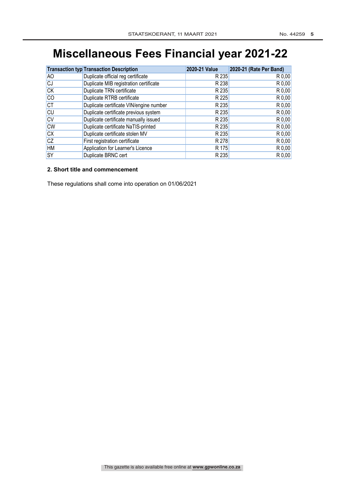## **Miscellaneous Fees Financial year 2021-22**

|           | <b>Transaction typ Transaction Description</b> | 2020-21 Value | 2020-21 (Rate Per Band) |
|-----------|------------------------------------------------|---------------|-------------------------|
| AO        | Duplicate official reg certificate             | R 235         | R 0,00                  |
| <b>CJ</b> | Duplicate MIB registration certificate         | R 238         | $R$ 0,00                |
| <b>CK</b> | Duplicate TRN certificate                      | R 235         | $R$ 0,00                |
| <b>CO</b> | Duplicate RTRB certificate                     | R 225         | $R$ 0,00                |
| CT        | Duplicate certificate VIN/engine number        | R 235         | $R$ 0,00                |
| <b>CU</b> | Duplicate certificate previous system          | R 235         | $R$ 0,00                |
| <b>CV</b> | Duplicate certificate manually issued          | R 235         | $R$ 0,00                |
| <b>CW</b> | Duplicate certificate NaTIS-printed            | R 235         | $R$ 0,00                |
| cx        | Duplicate certificate stolen MV                | R 235         | $R$ 0,00                |
| <b>CZ</b> | First registration certificate                 | R 278         | $R$ 0,00                |
| <b>HM</b> | Application for Learner's Licence              | R 175         | $R$ 0,00                |
| <b>SY</b> | Duplicate BRNC cert                            | R 235         | $R$ 0,00                |

#### **2. Short title and commencement**

These regulations shall come into operation on 01/06/2021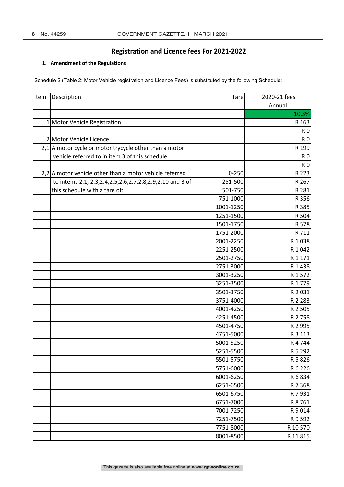#### **1. Amendment of the Regulations**

Schedule 2 (Table 2: Motor Vehicle registration and Licence Fees) is substituted by the following Schedule:

| Item | Description                                                     | <b>Tare</b> | 2020-21 fees   |
|------|-----------------------------------------------------------------|-------------|----------------|
|      |                                                                 |             | Annual         |
|      |                                                                 |             | 10,3%          |
|      | Motor Vehicle Registration                                      |             | R 163          |
|      |                                                                 |             | <b>RO</b>      |
|      | 2 Motor Vehicle Licence                                         |             | <b>R0</b>      |
|      | $2,1$  A motor cycle or motor trycycle other than a motor       |             | R 199          |
|      | vehicle referred to in item 3 of this schedule                  |             | <b>R0</b>      |
|      |                                                                 |             | R <sub>0</sub> |
|      | 2,2 A motor vehicle other than a motor vehicle referred         | $0 - 250$   | R 223          |
|      | to intems 2.1, 2.3, 2.4, 2.5, 2.6, 2.7, 2.8, 2.9, 2.10 and 3 of | 251-500     | R 267          |
|      | this schedule with a tare of:                                   | 501-750     | R 281          |
|      |                                                                 | 751-1000    | R 356          |
|      |                                                                 | 1001-1250   | R 385          |
|      |                                                                 | 1251-1500   | R 504          |
|      |                                                                 | 1501-1750   | R 578          |
|      |                                                                 | 1751-2000   | R 711          |
|      |                                                                 | 2001-2250   | R 1 0 3 8      |
|      |                                                                 | 2251-2500   | R 1042         |
|      |                                                                 | 2501-2750   | R 1 1 7 1      |
|      |                                                                 | 2751-3000   | R1438          |
|      |                                                                 | 3001-3250   | R 1572         |
|      |                                                                 | 3251-3500   | R 1779         |
|      |                                                                 | 3501-3750   | R 2031         |
|      |                                                                 | 3751-4000   | R 2 2 8 3      |
|      |                                                                 | 4001-4250   | R 2 505        |
|      |                                                                 | 4251-4500   | R 2758         |
|      |                                                                 | 4501-4750   | R 2 995        |
|      |                                                                 | 4751-5000   | R 3 1 1 3      |
|      |                                                                 | 5001-5250   | R 4744         |
|      |                                                                 | 5251-5500   | R 5 292        |
|      |                                                                 | 5501-5750   | R 5 8 2 6      |
|      |                                                                 | 5751-6000   | R 6 2 2 6      |
|      |                                                                 | 6001-6250   | R 6 8 3 4      |
|      |                                                                 | 6251-6500   | R 7 3 6 8      |
|      |                                                                 | 6501-6750   | R 7 931        |
|      |                                                                 | 6751-7000   | R 8761         |
|      |                                                                 | 7001-7250   | R9014          |
|      |                                                                 | 7251-7500   | R 9 5 9 2      |
|      |                                                                 | 7751-8000   | R 10 570       |
|      |                                                                 | 8001-8500   | R 11 815       |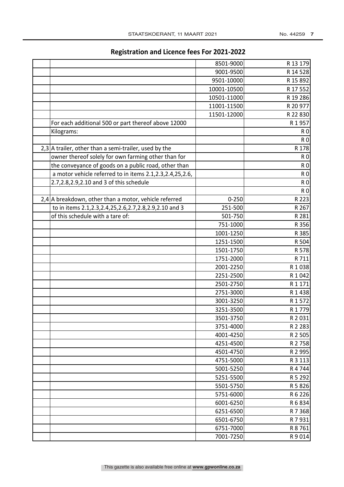|                                                               | 8501-9000   | R 13 179       |
|---------------------------------------------------------------|-------------|----------------|
|                                                               | 9001-9500   | R 14 528       |
|                                                               | 9501-10000  | R 15 892       |
|                                                               | 10001-10500 | R 17 552       |
|                                                               | 10501-11000 | R 19 286       |
|                                                               | 11001-11500 | R 20 977       |
|                                                               | 11501-12000 | R 22 830       |
| For each additional 500 or part thereof above 12000           |             | R 1957         |
| Kilograms:                                                    |             | R <sub>0</sub> |
|                                                               |             | R <sub>0</sub> |
| 2,3 A trailer, other than a semi-trailer, used by the         |             | R 178          |
| owner thereof solely for own farming other than for           |             | R <sub>0</sub> |
| the conveyance of goods on a public road, other than          |             | R <sub>0</sub> |
|                                                               |             |                |
| a motor vehicle referred to in items 2.1, 2.3, 2.4, 25, 2.6,  |             | <b>RO</b>      |
| 2.7,2.8,2.9,2.10 and 3 of this schedule                       |             | <b>RO</b>      |
|                                                               |             | <b>RO</b>      |
| 2,4 A breakdown, other than a motor, vehicle referred         | $0 - 250$   | R 223          |
| to in items 2.1, 2.3, 2.4, 25, 2.6, 2.7, 2.8, 2.9, 2.10 and 3 | 251-500     | R 267          |
| of this schedule with a tare of:                              | 501-750     | R 281          |
|                                                               | 751-1000    | R 356          |
|                                                               | 1001-1250   | R 385          |
|                                                               | 1251-1500   | R 504          |
|                                                               | 1501-1750   | R 578          |
|                                                               | 1751-2000   | R 711          |
|                                                               | 2001-2250   | R 1038         |
|                                                               | 2251-2500   | R 1 0 4 2      |
|                                                               | 2501-2750   | R 1 1 7 1      |
|                                                               | 2751-3000   | R1438          |
|                                                               | 3001-3250   | R 1572         |
|                                                               | 3251-3500   | R 1 7 7 9      |
|                                                               | 3501-3750   | R 2031         |
|                                                               | 3751-4000   | R 2 2 8 3      |
|                                                               | 4001-4250   | R 2 505        |
|                                                               | 4251-4500   | R 2758         |
|                                                               | 4501-4750   | R 2 995        |
|                                                               | 4751-5000   | R 3 1 1 3      |
|                                                               | 5001-5250   | R4744          |
|                                                               | 5251-5500   | R 5 292        |
|                                                               | 5501-5750   | R 5 8 2 6      |
|                                                               | 5751-6000   | R 6 2 2 6      |
|                                                               | 6001-6250   | R 6 8 3 4      |
|                                                               | 6251-6500   | R 7 3 6 8      |
|                                                               | 6501-6750   | R 7 931        |
|                                                               | 6751-7000   | R 8761         |
|                                                               | 7001-7250   | R9014          |
|                                                               |             |                |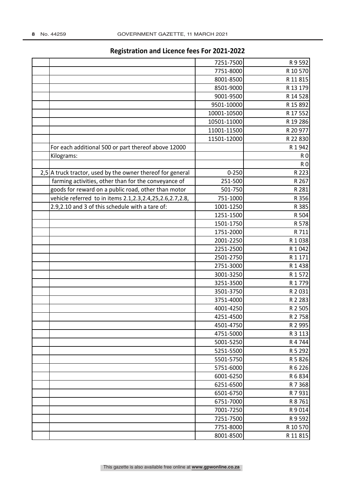| 7251-7500<br>R 9 5 9 2<br>7751-8000<br>R 10 570<br>8001-8500<br>R 11 815<br>8501-9000<br>R 13 179<br>9001-9500<br>R 14 528<br>R 15 892<br>9501-10000<br>10001-10500<br>R 17 552<br>10501-11000<br>R 19 286<br>11001-11500<br>R 20 977<br>11501-12000<br>R 22 830 |
|------------------------------------------------------------------------------------------------------------------------------------------------------------------------------------------------------------------------------------------------------------------|
|                                                                                                                                                                                                                                                                  |
|                                                                                                                                                                                                                                                                  |
|                                                                                                                                                                                                                                                                  |
|                                                                                                                                                                                                                                                                  |
|                                                                                                                                                                                                                                                                  |
|                                                                                                                                                                                                                                                                  |
|                                                                                                                                                                                                                                                                  |
|                                                                                                                                                                                                                                                                  |
|                                                                                                                                                                                                                                                                  |
|                                                                                                                                                                                                                                                                  |
| For each additional 500 or part thereof above 12000<br>R 1942                                                                                                                                                                                                    |
| Kilograms:<br>R <sub>0</sub>                                                                                                                                                                                                                                     |
| <b>R0</b>                                                                                                                                                                                                                                                        |
| 2,5 A truck tractor, used by the owner thereof for general<br>$0 - 250$<br>R 223                                                                                                                                                                                 |
| farming activities, other than for the conveyance of<br>251-500<br>R 267                                                                                                                                                                                         |
| goods for reward on a public road, other than motor<br>R 281<br>501-750                                                                                                                                                                                          |
| vehicle referred to in items 2.1, 2.3, 2.4, 25, 2.6, 2.7, 2.8,<br>751-1000<br>R 356                                                                                                                                                                              |
| 2.9,2.10 and 3 of this schedule with a tare of:<br>1001-1250<br>R 385                                                                                                                                                                                            |
| 1251-1500<br>R 504                                                                                                                                                                                                                                               |
| 1501-1750<br>R 578                                                                                                                                                                                                                                               |
| 1751-2000<br>R 711                                                                                                                                                                                                                                               |
| 2001-2250<br>R 1038                                                                                                                                                                                                                                              |
| 2251-2500<br>R 1042                                                                                                                                                                                                                                              |
| 2501-2750<br>R 1 171                                                                                                                                                                                                                                             |
| 2751-3000<br>R 1 4 3 8                                                                                                                                                                                                                                           |
| 3001-3250<br>R 1572                                                                                                                                                                                                                                              |
| 3251-3500<br>R 1779                                                                                                                                                                                                                                              |
| 3501-3750<br>R 2031                                                                                                                                                                                                                                              |
| 3751-4000<br>R 2 2 8 3                                                                                                                                                                                                                                           |
| 4001-4250<br>R 2 505                                                                                                                                                                                                                                             |
| R 2758<br>4251-4500                                                                                                                                                                                                                                              |
| 4501-4750<br>R 2 9 9 5                                                                                                                                                                                                                                           |
| 4751-5000<br>R 3 1 1 3                                                                                                                                                                                                                                           |
| 5001-5250<br>R4744                                                                                                                                                                                                                                               |
| R 5 292<br>5251-5500                                                                                                                                                                                                                                             |
| 5501-5750<br>R 5 8 2 6                                                                                                                                                                                                                                           |
| R 6 2 2 6<br>5751-6000                                                                                                                                                                                                                                           |
| 6001-6250<br>R 6 8 3 4                                                                                                                                                                                                                                           |
| 6251-6500<br>R 7 3 6 8                                                                                                                                                                                                                                           |
| 6501-6750<br>R 7 931                                                                                                                                                                                                                                             |
| R 8761<br>6751-7000                                                                                                                                                                                                                                              |
| 7001-7250<br>R9014                                                                                                                                                                                                                                               |
| 7251-7500<br>R 9 5 9 2                                                                                                                                                                                                                                           |
| R 10 570<br>7751-8000                                                                                                                                                                                                                                            |
| 8001-8500<br>R 11 815                                                                                                                                                                                                                                            |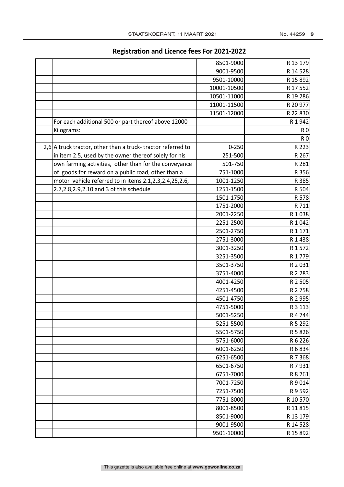|                                                             | 8501-9000   | R 13 179       |
|-------------------------------------------------------------|-------------|----------------|
|                                                             | 9001-9500   | R 14 528       |
|                                                             | 9501-10000  | R 15 892       |
|                                                             | 10001-10500 | R 17 552       |
|                                                             | 10501-11000 | R 19 286       |
|                                                             | 11001-11500 | R 20 977       |
|                                                             | 11501-12000 | R 22 830       |
| For each additional 500 or part thereof above 12000         |             | R 1 942        |
| Kilograms:                                                  |             | R <sub>0</sub> |
|                                                             |             | R <sub>0</sub> |
| 2,6 A truck tractor, other than a truck-tractor referred to | $0 - 250$   | R 223          |
| in item 2.5, used by the owner thereof solely for his       | 251-500     | R 267          |
| own farming activities, other than for the conveyance       | 501-750     | R 281          |
| of goods for reward on a public road, other than a          | 751-1000    | R 356          |
| motor vehicle referred to in items 2.1,2.3,2.4,25,2.6,      | 1001-1250   | R 385          |
| 2.7,2.8,2.9,2.10 and 3 of this schedule                     | 1251-1500   | R 504          |
|                                                             | 1501-1750   | R 578          |
|                                                             | 1751-2000   | R 711          |
|                                                             | 2001-2250   | R1038          |
|                                                             | 2251-2500   | R 1042         |
|                                                             | 2501-2750   | R1171          |
|                                                             | 2751-3000   | R 1 4 3 8      |
|                                                             | 3001-3250   | R 1 572        |
|                                                             | 3251-3500   | R 1779         |
|                                                             | 3501-3750   | R 2031         |
|                                                             | 3751-4000   | R 2 283        |
|                                                             | 4001-4250   | R 2 505        |
|                                                             | 4251-4500   | R 2758         |
|                                                             | 4501-4750   | R 2 995        |
|                                                             | 4751-5000   | R 3 113        |
|                                                             | 5001-5250   | R 4 744        |
|                                                             | 5251-5500   | R 5 292        |
|                                                             | 5501-5750   | R 5 8 2 6      |
|                                                             | 5751-6000   | R 6 226        |
|                                                             | 6001-6250   | R 6 834        |
|                                                             | 6251-6500   | R 7 3 6 8      |
|                                                             | 6501-6750   | R 7 931        |
|                                                             | 6751-7000   | R 8761         |
|                                                             | 7001-7250   | R9014          |
|                                                             | 7251-7500   | R 9 5 9 2      |
|                                                             | 7751-8000   | R 10 570       |
|                                                             | 8001-8500   | R 11 815       |
|                                                             | 8501-9000   | R 13 179       |
|                                                             | 9001-9500   | R 14 528       |
|                                                             | 9501-10000  | R 15 892       |
|                                                             |             |                |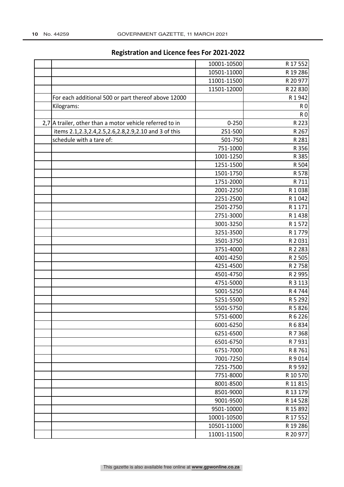|                          |                                                             | 10001-10500 | R 17 552       |
|--------------------------|-------------------------------------------------------------|-------------|----------------|
|                          |                                                             | 10501-11000 | R 19 286       |
|                          |                                                             | 11001-11500 | R 20 977       |
|                          |                                                             | 11501-12000 | R 22 830       |
|                          | For each additional 500 or part thereof above 12000         |             | R 1942         |
| Kilograms:               |                                                             |             | R <sub>0</sub> |
|                          |                                                             |             | R <sub>0</sub> |
|                          | $2,7$ A trailer, other than a motor vehicle referred to in  | $0 - 250$   | R 223          |
|                          | items 2.1, 2.3, 2.4, 2.5, 2.6, 2.8, 2.9, 2.10 and 3 of this | 251-500     | R 267          |
| schedule with a tare of: |                                                             | 501-750     | R 281          |
|                          |                                                             | 751-1000    | R 356          |
|                          |                                                             | 1001-1250   | R 385          |
|                          |                                                             | 1251-1500   | R 504          |
|                          |                                                             | 1501-1750   | R 578          |
|                          |                                                             | 1751-2000   | R 711          |
|                          |                                                             | 2001-2250   | R 1 0 3 8      |
|                          |                                                             | 2251-2500   | R 1 042        |
|                          |                                                             | 2501-2750   | R 1 171        |
|                          |                                                             | 2751-3000   | R 1 4 3 8      |
|                          |                                                             | 3001-3250   | R 1 572        |
|                          |                                                             | 3251-3500   | R 1779         |
|                          |                                                             | 3501-3750   | R 2 0 3 1      |
|                          |                                                             | 3751-4000   | R 2 283        |
|                          |                                                             | 4001-4250   | R 2 505        |
|                          |                                                             | 4251-4500   | R 2758         |
|                          |                                                             | 4501-4750   | R 2 995        |
|                          |                                                             | 4751-5000   | R 3 113        |
|                          |                                                             | 5001-5250   | R 4744         |
|                          |                                                             | 5251-5500   | R 5 292        |
|                          |                                                             | 5501-5750   | R 5 8 2 6      |
|                          |                                                             | 5751-6000   | R 6 226        |
|                          |                                                             | 6001-6250   | R 6 8 3 4      |
|                          |                                                             | 6251-6500   | R 7 368        |
|                          |                                                             | 6501-6750   | R 7 931        |
|                          |                                                             | 6751-7000   | R 8 761        |
|                          |                                                             | 7001-7250   | R 9 014        |
|                          |                                                             | 7251-7500   | R 9 5 9 2      |
|                          |                                                             | 7751-8000   | R 10 570       |
|                          |                                                             | 8001-8500   | R 11 815       |
|                          |                                                             | 8501-9000   | R 13 179       |
|                          |                                                             | 9001-9500   | R 14 528       |
|                          |                                                             | 9501-10000  | R 15 892       |
|                          |                                                             | 10001-10500 | R 17 552       |
|                          |                                                             | 10501-11000 | R 19 286       |
|                          |                                                             | 11001-11500 | R 20 977       |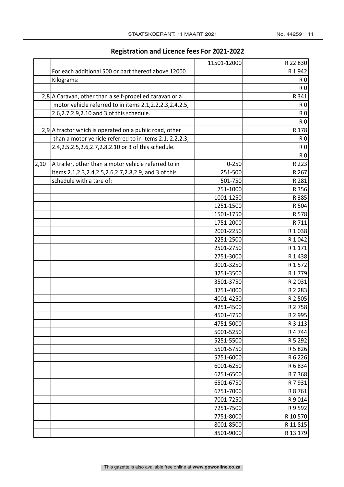|      |                                                             | 11501-12000 | R 22 830       |
|------|-------------------------------------------------------------|-------------|----------------|
|      | For each additional 500 or part thereof above 12000         |             | R 1942         |
|      | Kilograms:                                                  |             | R <sub>0</sub> |
|      |                                                             |             | <b>RO</b>      |
|      | 2,8 A Caravan, other than a self-propelled caravan or a     |             | R 341          |
|      | motor vehicle referred to in items 2.1,2.2,2.3,2.4,2.5,     |             | R <sub>0</sub> |
|      | 2.6, 2.7, 2.9, 2.10 and 3 of this schedule.                 |             | R <sub>0</sub> |
|      |                                                             |             | R <sub>0</sub> |
|      | 2,9 A tractor which is operated on a public road, other     |             | R 178          |
|      | than a motor vehicle referred to in items 2.1, 2.2, 2.3,    |             | R <sub>0</sub> |
|      | 2.4,2.5,2.5,2.6,2.7,2.8,2.10 or 3 of this schedule.         |             | R <sub>0</sub> |
|      |                                                             |             | R <sub>0</sub> |
| 2,10 | A trailer, other than a motor vehicle referred to in        | $0 - 250$   | R 223          |
|      | items 2.1, 2.3, 2.4, 2.5, 2.6, 2.7, 2.8, 2.9, and 3 of this | 251-500     | R 267          |
|      | schedule with a tare of:                                    | 501-750     | R 281          |
|      |                                                             | 751-1000    | R 356          |
|      |                                                             | 1001-1250   | R 385          |
|      |                                                             | 1251-1500   | R 504          |
|      |                                                             | 1501-1750   | R 578          |
|      |                                                             | 1751-2000   | R 711          |
|      |                                                             | 2001-2250   | R 1 0 3 8      |
|      |                                                             | 2251-2500   | R 1 042        |
|      |                                                             | 2501-2750   | R 1 171        |
|      |                                                             | 2751-3000   | R 1 4 3 8      |
|      |                                                             | 3001-3250   | R 1 572        |
|      |                                                             | 3251-3500   | R 1779         |
|      |                                                             | 3501-3750   | R 2031         |
|      |                                                             | 3751-4000   | R 2 2 8 3      |
|      |                                                             | 4001-4250   | R 2 505        |
|      |                                                             | 4251-4500   | R 2758         |
|      |                                                             | 4501-4750   | R 2 995        |
|      |                                                             | 4751-5000   | R 3 113        |
|      |                                                             | 5001-5250   | R 4744         |
|      |                                                             | 5251-5500   | R 5 292        |
|      |                                                             | 5501-5750   | R 5 8 2 6      |
|      |                                                             | 5751-6000   | R 6 226        |
|      |                                                             | 6001-6250   | R 6 834        |
|      |                                                             | 6251-6500   | R 7 368        |
|      |                                                             | 6501-6750   | R 7 931        |
|      |                                                             | 6751-7000   | R 8761         |
|      |                                                             | 7001-7250   | R9014          |
|      |                                                             | 7251-7500   | R 9 5 9 2      |
|      |                                                             | 7751-8000   | R 10 570       |
|      |                                                             | 8001-8500   | R 11 815       |
|      |                                                             | 8501-9000   | R 13 179       |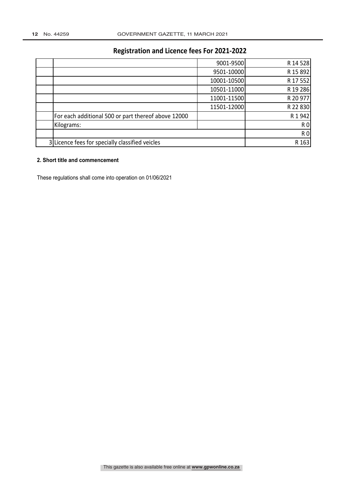|                                                     | 9001-9500   | R 14 528       |
|-----------------------------------------------------|-------------|----------------|
|                                                     | 9501-10000  | R 15 892       |
|                                                     | 10001-10500 | R 17 552       |
|                                                     | 10501-11000 | R 19 286       |
|                                                     | 11001-11500 | R 20 977       |
|                                                     | 11501-12000 | R 22 830       |
| For each additional 500 or part thereof above 12000 |             | R 1 942        |
| Kilograms:                                          |             | R <sub>0</sub> |
|                                                     |             | <b>R0</b>      |
| 3 Licence fees for specially classified veicles     |             | R 163          |

#### **2. Short title and commencement**

These regulations shall come into operation on 01/06/2021